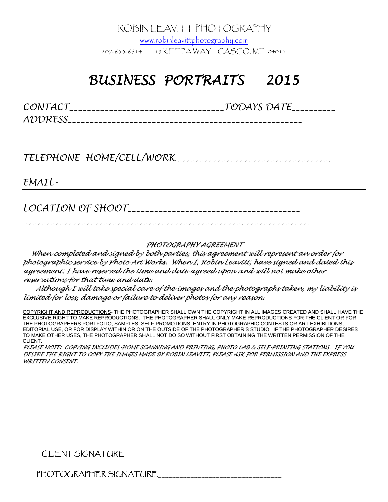ROBIN LEAVITT PHOTOGRAPHY

www.robinleavittphotography.com 207-653-6614 19 KEEPA WAY CASCO, ME, 04015

## *BUSINESS BUSINESS PORTRAITS PORTRAITS 2015*

*CONTACT\_\_\_\_\_\_\_\_\_\_\_\_\_\_\_\_\_\_\_\_\_\_\_\_\_\_\_\_\_\_\_\_\_\_\_TODAYS DATE\_\_\_\_\_\_\_\_\_\_ ADDRESS\_\_\_\_\_\_\_\_\_\_\_\_\_\_\_\_\_\_\_\_\_\_\_\_\_\_\_\_\_\_\_\_\_\_\_\_\_\_\_\_\_\_\_\_\_\_\_\_\_\_\_\_\_* 

*TELEPHONE HOME/CELL/WORK\_\_\_\_\_\_\_\_\_\_\_\_\_\_\_\_\_\_\_\_\_\_\_\_\_\_\_\_\_\_\_\_\_\_\_* 

*EMAIL-* 

*LOCATION OF SHOOT\_\_\_\_\_\_\_\_\_\_\_\_\_\_\_\_\_\_\_\_\_\_\_\_\_\_\_\_\_\_\_\_\_\_\_\_\_\_\_* 

 *\_\_\_\_\_\_\_\_\_\_\_\_\_\_\_\_\_\_\_\_\_\_\_\_\_\_\_\_\_\_\_\_\_\_\_\_\_\_\_\_\_\_\_\_\_\_\_\_\_\_\_\_\_\_\_\_\_\_\_\_\_\_\_\_* 

*PHOTOGRAPHY AGREEMENT*

*When completed and signed by both parties, this agreement will represent an order for photographic service by Photo Art Works. When I, Robin Leavitt, have signed and dated this agreement, <sup>I</sup> have reserved the time and date agreed upon and will not make other reservations for that time and date.*

*Although <sup>I</sup> will take special care of the images and the photographs taken, my liability is limited for loss, damage or failure to deliver photos for any reason.*

COPYRIGHT AND REPRODUCTIONS- THE PHOTOGRAPHER SHALL OWN THE COPYRIGHT IN ALL IMAGES CREATED AND SHALL HAVE THE EXCLUSIVE RIGHT TO MAKE REPRODUCTIONS. THE PHOTOGRAPHER SHALL ONLY MAKE REPRODUCTIONS FOR THE CLIENT OR FOR THE PHOTOGRAPHERS PORTFOLIO, SAMPLES, SELF-PROMOTIONS, ENTRY IN PHOTOGRAPHIC CONTESTS OR ART EXHIBITIONS, EDITORIAL USE, OR FOR DISPLAY WITHIN OR ON THE OUTSIDE OF THE PHOTOGRAPHER'S STUDIO. IF THE PHOTOGRAPHER DESIRES TO MAKE OTHER USES, THE PHOTOGRAPHER SHALL NOT DO SO WITHOUT FIRST OBTAINING THE WRITTEN PERMISSION OF THE CLIENT.

*PLEASE NOTE: COPYING INCLUDES-HOME SCANNING AND PRINTING, PHOTO LAB & SELF-PRINTING STATIONS. IF YOU* DESIRE THE RIGHT TO COPY THE IMAGES MADE BY ROBIN LEAVITT, PLEASE ASK FOR PERMISSION AND THE EXPRESS *WRITTEN CONSENT.*

CLIENT SIGNATURE\_\_\_\_\_\_\_\_\_\_\_\_\_\_\_\_\_\_\_\_\_\_\_\_\_\_\_\_\_\_\_\_\_\_\_\_\_\_\_\_\_\_\_ \_\_\_\_\_\_\_\_

PHOTOGRAPHER SIGNATURE\_\_\_\_\_\_\_\_\_\_\_\_\_\_\_\_\_\_\_\_\_\_\_\_\_\_\_\_\_\_\_\_\_\_ \_\_\_\_\_\_\_\_\_\_\_\_\_\_\_